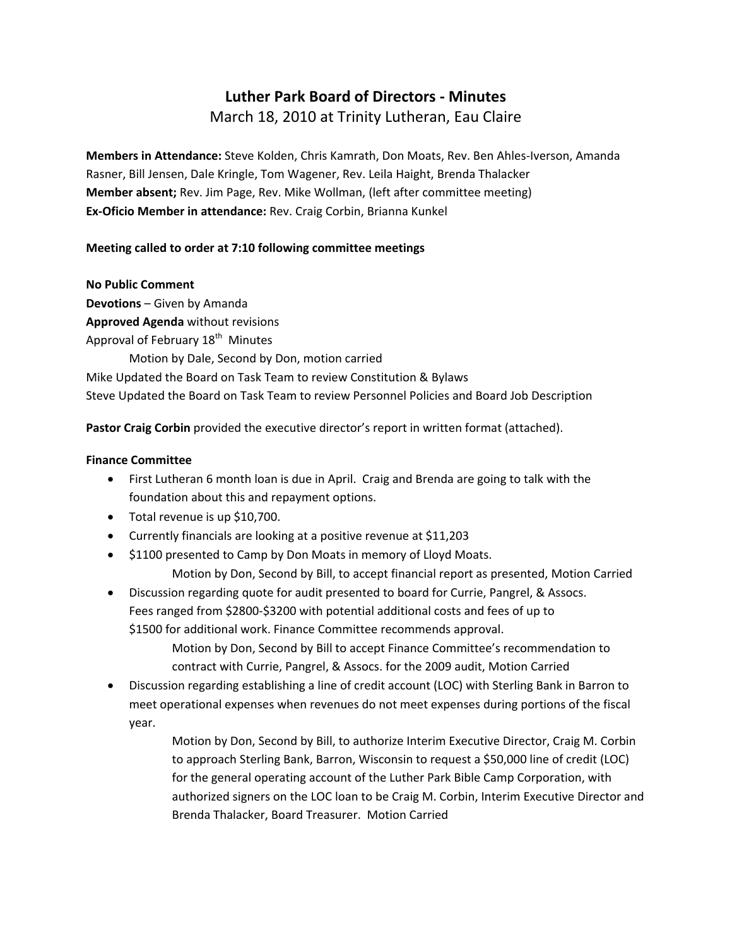# **Luther Park Board of Directors ‐ Minutes**

March 18, 2010 at Trinity Lutheran, Eau Claire

**Members in Attendance:** Steve Kolden, Chris Kamrath, Don Moats, Rev. Ben Ahles‐Iverson, Amanda Rasner, Bill Jensen, Dale Kringle, Tom Wagener, Rev. Leila Haight, Brenda Thalacker **Member absent;** Rev. Jim Page, Rev. Mike Wollman, (left after committee meeting) **Ex‐Oficio Member in attendance:** Rev. Craig Corbin, Brianna Kunkel

# **Meeting called to order at 7:10 following committee meetings**

#### **No Public Comment**

**Devotions** – Given by Amanda **Approved Agenda** without revisions Approval of February 18<sup>th</sup> Minutes Motion by Dale, Second by Don, motion carried Mike Updated the Board on Task Team to review Constitution & Bylaws Steve Updated the Board on Task Team to review Personnel Policies and Board Job Description

**Pastor Craig Corbin** provided the executive director's report in written format (attached).

### **Finance Committee**

- First Lutheran 6 month loan is due in April. Craig and Brenda are going to talk with the foundation about this and repayment options.
- Total revenue is up \$10,700.
- Currently financials are looking at a positive revenue at \$11,203
- \$1100 presented to Camp by Don Moats in memory of Lloyd Moats. Motion by Don, Second by Bill, to accept financial report as presented, Motion Carried
- Discussion regarding quote for audit presented to board for Currie, Pangrel, & Assocs. Fees ranged from \$2800‐\$3200 with potential additional costs and fees of up to \$1500 for additional work. Finance Committee recommends approval.

Motion by Don, Second by Bill to accept Finance Committee's recommendation to contract with Currie, Pangrel, & Assocs. for the 2009 audit, Motion Carried

• Discussion regarding establishing a line of credit account (LOC) with Sterling Bank in Barron to meet operational expenses when revenues do not meet expenses during portions of the fiscal year.

> Motion by Don, Second by Bill, to authorize Interim Executive Director, Craig M. Corbin to approach Sterling Bank, Barron, Wisconsin to request a \$50,000 line of credit (LOC) for the general operating account of the Luther Park Bible Camp Corporation, with authorized signers on the LOC loan to be Craig M. Corbin, Interim Executive Director and Brenda Thalacker, Board Treasurer. Motion Carried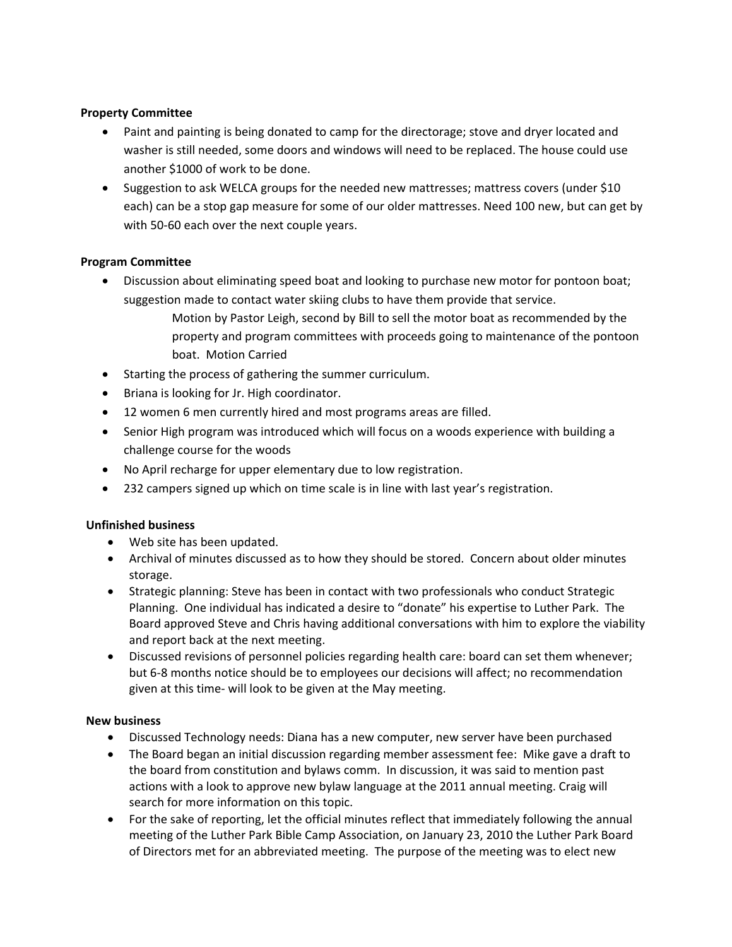# **Property Committee**

- Paint and painting is being donated to camp for the directorage; stove and dryer located and washer is still needed, some doors and windows will need to be replaced. The house could use another \$1000 of work to be done.
- Suggestion to ask WELCA groups for the needed new mattresses; mattress covers (under \$10 each) can be a stop gap measure for some of our older mattresses. Need 100 new, but can get by with 50-60 each over the next couple years.

# **Program Committee**

- Discussion about eliminating speed boat and looking to purchase new motor for pontoon boat; suggestion made to contact water skiing clubs to have them provide that service.
	- Motion by Pastor Leigh, second by Bill to sell the motor boat as recommended by the property and program committees with proceeds going to maintenance of the pontoon boat. Motion Carried
- Starting the process of gathering the summer curriculum.
- Briana is looking for Jr. High coordinator.
- 12 women 6 men currently hired and most programs areas are filled.
- Senior High program was introduced which will focus on a woods experience with building a challenge course for the woods
- No April recharge for upper elementary due to low registration.
- 232 campers signed up which on time scale is in line with last year's registration.

### **Unfinished business**

- Web site has been updated.
- Archival of minutes discussed as to how they should be stored. Concern about older minutes storage.
- Strategic planning: Steve has been in contact with two professionals who conduct Strategic Planning. One individual has indicated a desire to "donate" his expertise to Luther Park. The Board approved Steve and Chris having additional conversations with him to explore the viability and report back at the next meeting.
- Discussed revisions of personnel policies regarding health care: board can set them whenever; but 6‐8 months notice should be to employees our decisions will affect; no recommendation given at this time‐ will look to be given at the May meeting.

# **New business**

- Discussed Technology needs: Diana has a new computer, new server have been purchased
- The Board began an initial discussion regarding member assessment fee: Mike gave a draft to the board from constitution and bylaws comm. In discussion, it was said to mention past actions with a look to approve new bylaw language at the 2011 annual meeting. Craig will search for more information on this topic.
- For the sake of reporting, let the official minutes reflect that immediately following the annual meeting of the Luther Park Bible Camp Association, on January 23, 2010 the Luther Park Board of Directors met for an abbreviated meeting. The purpose of the meeting was to elect new